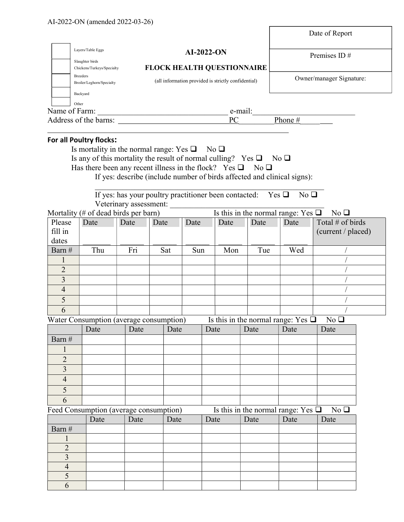|                         |                            |                                                                                                                                                                                                                                                                                                | Date of Report           |
|-------------------------|----------------------------|------------------------------------------------------------------------------------------------------------------------------------------------------------------------------------------------------------------------------------------------------------------------------------------------|--------------------------|
| Slaughter birds         | Layers/Table Eggs          | $AI-2022-ON$                                                                                                                                                                                                                                                                                   | Premises ID $#$          |
|                         | Chickens/Turkeys/Specialty | <b>FLOCK HEALTH QUESTIONNAIRE</b>                                                                                                                                                                                                                                                              |                          |
| <b>Breeders</b>         | Broiler/Leghorn/Specialty  | (all information provided is strictly confidential)                                                                                                                                                                                                                                            | Owner/manager Signature: |
| Backyard                |                            |                                                                                                                                                                                                                                                                                                |                          |
| Other                   |                            |                                                                                                                                                                                                                                                                                                |                          |
| Name of Farm:           |                            | e-mail:                                                                                                                                                                                                                                                                                        |                          |
| Address of the barns:   |                            | PC.                                                                                                                                                                                                                                                                                            | Phone $#$                |
| For all Poultry flocks: |                            | Is mortality in the normal range: Yes $\square$ No $\square$<br>Is any of this mortality the result of normal culling? Yes $\Box$ No $\Box$<br>Has there been any recent illness in the flock? Yes $\Box$ No $\Box$<br>If yes: describe (include number of birds affected and clinical signs): |                          |

If yes: has your poultry practitioner been contacted: Yes  $\square$  No  $\square$ Veterinary assessment:

Mortality (# of dead birds per barn) Is this in the normal range: Yes  $\Box$  No  $\Box$ 

Г

| Please<br>fill in<br>dates | Date | Date | Date | Date | Date | Date | Date | Total # of birds<br>(current / placed) |
|----------------------------|------|------|------|------|------|------|------|----------------------------------------|
| Barn#                      | Thu  | Fri  | Sat  | Sun  | Mon  | Tue  | Wed  |                                        |
|                            |      |      |      |      |      |      |      |                                        |
| $\mathcal{D}$              |      |      |      |      |      |      |      |                                        |
| 3                          |      |      |      |      |      |      |      |                                        |
| $\overline{4}$             |      |      |      |      |      |      |      |                                        |
|                            |      |      |      |      |      |      |      |                                        |
|                            |      |      |      |      |      |      |      |                                        |

| Water Consumption (average consumption) | Is this in the normal range: Yes $\Box$ No $\Box$ |  |
|-----------------------------------------|---------------------------------------------------|--|
|-----------------------------------------|---------------------------------------------------|--|

|        | Date | ີ<br>Date | Date | Date | Date | $\tilde{\phantom{a}}$<br>Date | Date |
|--------|------|-----------|------|------|------|-------------------------------|------|
| Barn # |      |           |      |      |      |                               |      |
|        |      |           |      |      |      |                               |      |
|        |      |           |      |      |      |                               |      |
|        |      |           |      |      |      |                               |      |
|        |      |           |      |      |      |                               |      |
|        |      |           |      |      |      |                               |      |
|        |      |           |      |      |      |                               |      |

Feed Consumption (average consumption) Is this in the normal range: Yes  $\Box$  No  $\Box$ 

|        | Date | Date | Date | Date | Date | Date | Date |
|--------|------|------|------|------|------|------|------|
| Barn # |      |      |      |      |      |      |      |
|        |      |      |      |      |      |      |      |
|        |      |      |      |      |      |      |      |
|        |      |      |      |      |      |      |      |
|        |      |      |      |      |      |      |      |
|        |      |      |      |      |      |      |      |
|        |      |      |      |      |      |      |      |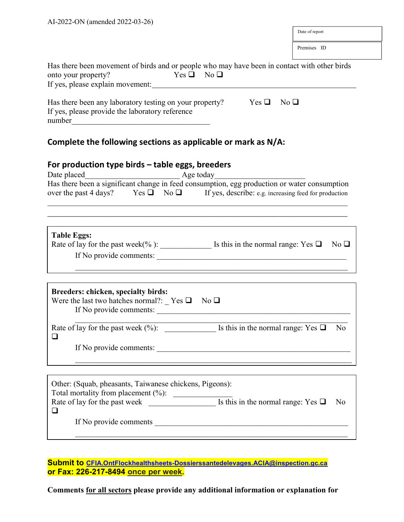| AI-2022-ON (amended 2022-03-26)                                                                                                                                                                                 |                               |
|-----------------------------------------------------------------------------------------------------------------------------------------------------------------------------------------------------------------|-------------------------------|
|                                                                                                                                                                                                                 | Date of report                |
|                                                                                                                                                                                                                 | Premises ID                   |
| Has there been movement of birds and or people who may have been in contact with other birds<br>$Yes \Box No \Box$<br>onto your property?<br>If yes, please explain movement:                                   |                               |
| Has there been any laboratory testing on your property?<br>If yes, please provide the laboratory reference<br>number                                                                                            | $Yes \Box$<br>No <sub>Q</sub> |
| Complete the following sections as applicable or mark as $N/A$ :                                                                                                                                                |                               |
| For production type birds - table eggs, breeders<br>Date placed                                                                                                                                                 |                               |
| Date placed<br>Has there been a significant change in feed consumption, egg production or water consumption<br>over the past 4 days? Yes $\Box$ No $\Box$ If yes, describe: e.g. increasing feed for production |                               |
| <b>Table Eggs:</b><br>Rate of lay for the past week(%): $\qquad \qquad$ Is this in the normal range: Yes $\Box$<br>If No provide comments:                                                                      | $No \square$                  |
|                                                                                                                                                                                                                 |                               |
| Breeders: chicken, specialty birds:<br>Were the last two hatches normal?: $\Gamma$ Yes $\Box$<br>$\mathrm{No}\ \square$<br>If No provide comments:                                                              |                               |
| Rate of lay for the past week (%): $\qquad \qquad$ Is this in the normal range: $\overline{Yes} \square$<br>❏                                                                                                   | No.                           |
| If No provide comments:                                                                                                                                                                                         |                               |
|                                                                                                                                                                                                                 |                               |
| Other: (Squab, pheasants, Taiwanese chickens, Pigeons):<br>Total mortality from placement (%):<br>Total inortiality from placement (%):<br>Rate of lay for the past week<br>Is this in the normal range: Yes □  | No                            |
| ⊔<br>If No provide comments                                                                                                                                                                                     |                               |
|                                                                                                                                                                                                                 |                               |

Submit to CFIA.OntFlockhealthsheets-Dossierssantedelevages.ACIA@inspection.gc.ca or Fax: 226-217-8494 once per week.

Comments for all sectors please provide any additional information or explanation for